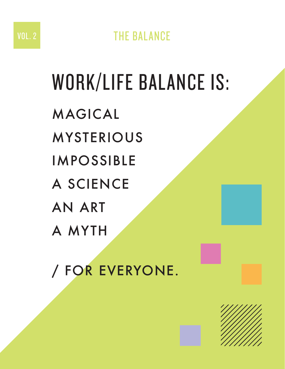#### VOL. 2 THE BALANCE

## WORK/LIFE BALANCE IS: MAGICAL MYSTERIOUS IMPOSSIBLE A SCIENCE AN ART A MYTH

/ FOR EVERYONE.

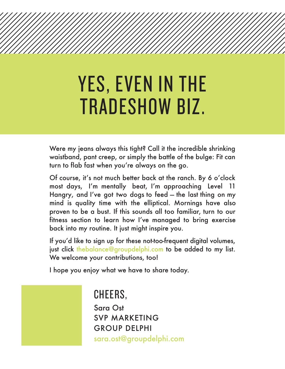### YES, EVEN IN THE TRADESHOW BIZ.

Were my jeans always this tight? Call it the incredible shrinking waistband, pant creep, or simply the battle of the bulge: Fit can turn to flab fast when you're always on the go.

Of course, it's not much better back at the ranch. By 6 o'clock most days, I'm mentally beat, I'm approaching Level 11 Hangry, and I've got two dogs to feed — the last thing on my mind is quality time with the elliptical. Mornings have also proven to be a bust. If this sounds all too familiar, turn to our fitness section to learn how I've managed to bring exercise back into my routine. It just might inspire you.

If you'd like to sign up for these not-too-frequent digital volumes, just click thebalance@groupdelphi.com to be added to my list. We welcome your contributions, too!

I hope you enjoy what we have to share today.

CHEERS, Sara Ost SVP MARKETING GROUP DELPHI sara.ost@groupdelphi.com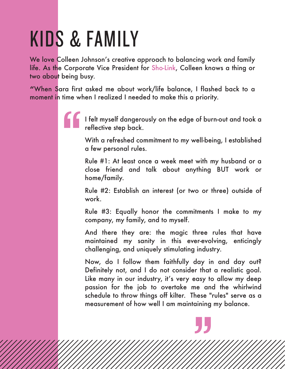## KIDS & FAMILY

We love Colleen Johnson's creative approach to balancing work and family life. As the Corporate Vice President for Sho-Link, Colleen knows a thing or two about being busy.

**"**When Sara first asked me about work/life balance, I flashed back to a moment in time when I realized I needed to make this a priority.

> I felt myself dangerously on the edge of burn-out and took a reflective step back.

With a refreshed commitment to my well-being, I established a few personal rules.

Rule #1: At least once a week meet with my husband or a close friend and talk about anything BUT work or home/family.

Rule #2: Establish an interest (or two or three) outside of work.

Rule #3: Equally honor the commitments I make to my company, my family, and to myself.

And there they are: the magic three rules that have maintained my sanity in this ever-evolving, enticingly challenging, and uniquely stimulating industry.

Now, do I follow them faithfully day in and day out? Definitely not, and I do not consider that a realistic goal. Like many in our industry, it's very easy to allow my deep passion for the job to overtake me and the whirlwind schedule to throw things off kilter. These "rules" serve as a measurement of how well I am maintaining my balance.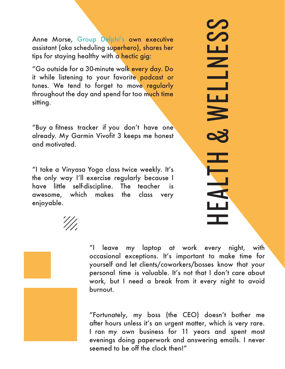Anne Morse, Group Delphi's own executive assistant (aka scheduling superhero), shares her tips for staying healthy with a hectic gig:

"Go outside for a 30-minute walk every day. Do it while listening to your favorite podcast or tunes. We tend to forget to move regularly throughout the day and spend far too much time sitting.

"Buy a fitness tracker if you don't have one already. My Garmin Vivofit 3 keeps me honest and motivated.

"I take a Vinyasa Yoga class twice weekly. It's the only way I'll exercise regularly because I have little self-discipline. The teacher is awesome, which makes the class very enjoyable.

# HEALTH & WELLNESS  $\boldsymbol{Z}$ S سا  $\overline{\phantom{0}}$ **NELI** EALTH &



"I leave my laptop at work every night, with occasional exceptions. It's important to make time for yourself and let clients/coworkers/bosses know that your personal time is valuable. It's not that I don't care about work, but I need a break from it every night to avoid burnout.

"Fortunately, my boss (the CEO) doesn't bother me after hours unless it's an urgent matter, which is very rare. I ran my own business for 11 years and spent most evenings doing paperwork and answering emails. I never seemed to be off the clock then!"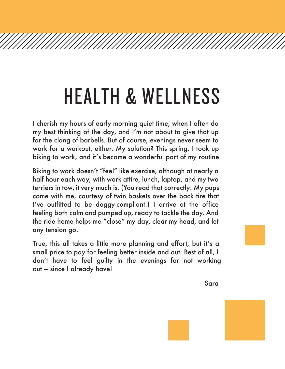## HEALTH & WELLNESS

I cherish my hours of early morning quiet time, when I often do my best thinking of the day, and I'm not about to give that up for the clang of barbells. But of course, evenings never seem to work for a workout, either. My solution? This spring, I took up biking to work, and it's become a wonderful part of my routine.

Biking to work doesn't "feel" like exercise, although at nearly a half hour each way, with work attire, lunch, laptop, and my two terriers in tow, it very much is. (You read that correctly: My pups come with me, courtesy of twin baskets over the back tire that I've outfitted to be doggy-compliant.) I arrive at the office feeling both calm and pumped up, ready to tackle the day. And the ride home helps me "close" my day, clear my head, and let any tension go.

True, this all takes a little more planning and effort, but it's a small price to pay for feeling better inside and out. Best of all, I don't have to feel guilty in the evenings for not working out — since I already have!

- Sara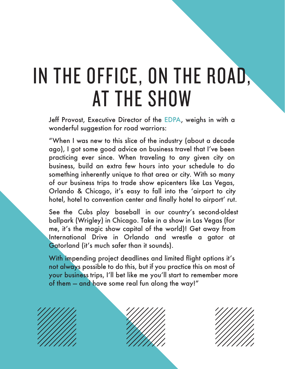## IN THE OFFICE, ON THE ROAD, AT THE SHOW

Jeff Provost, Executive Director of the EDPA, weighs in with a wonderful suggestion for road warriors:

"When I was new to this slice of the industry (about a decade ago), I got some good advice on business travel that I've been practicing ever since. When traveling to any given city on business, build an extra few hours into your schedule to do something inherently unique to that area or city. With so many of our business trips to trade show epicenters like Las Vegas, Orlando & Chicago, it's easy to fall into the ʻairport to city hotel, hotel to convention center and finally hotel to airport' rut.

See the Cubs play baseball in our country's second-oldest ballpark (Wrigley) in Chicago. Take in a show in Las Vegas (for me, it's the magic show capital of the world)! Get away from International Drive in Orlando and wrestle a gator at Gatorland (it's much safer than it sounds).

With impending project deadlines and limited flight options it's not always possible to do this, but if you practice this on most of your business trips, I'll bet like me you'll start to remember more of them — and have some real fun along the way!"